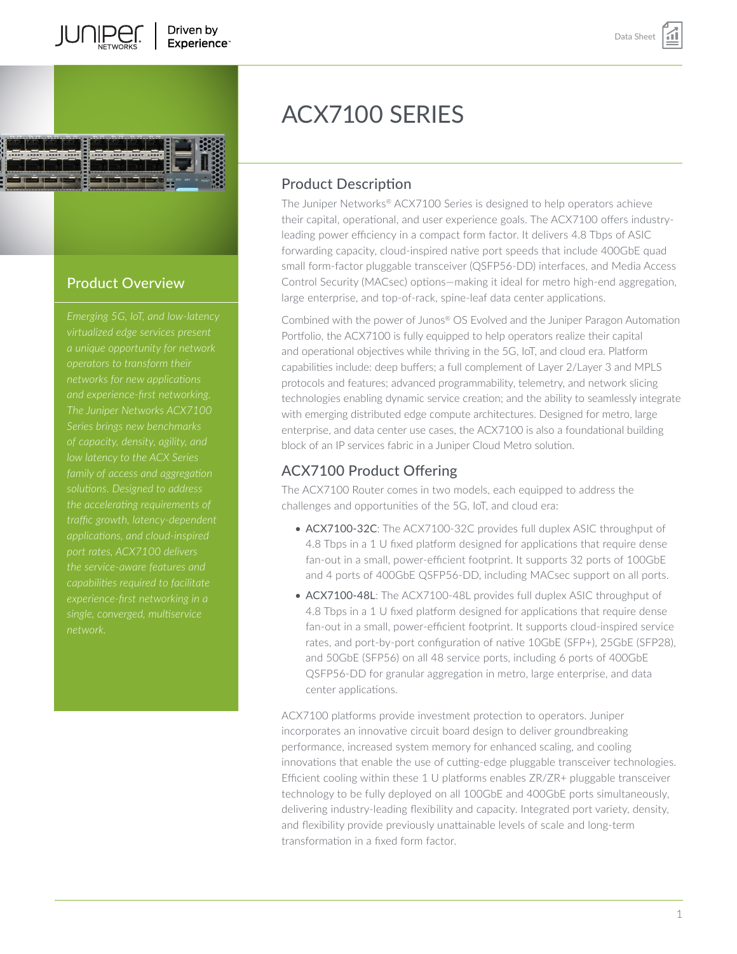



# Product Overview

*and experience-first networking. of capacity, density, agility, and family of access and aggregation capabilities required to facilitate experience-first networking in a* 

# ACX7100 SERIES

# Product Description

The Juniper Networks® ACX7100 Series is designed to help operators achieve their capital, operational, and user experience goals. The ACX7100 offers industryleading power efficiency in a compact form factor. It delivers 4.8 Tbps of ASIC forwarding capacity, cloud-inspired native port speeds that include 400GbE quad small form-factor pluggable transceiver (QSFP56-DD) interfaces, and Media Access Control Security (MACsec) options—making it ideal for metro high-end aggregation, large enterprise, and top-of-rack, spine-leaf data center applications.

Combined with the power of Junos® OS Evolved and the Juniper Paragon Automation Portfolio, the ACX7100 is fully equipped to help operators realize their capital and operational objectives while thriving in the 5G, IoT, and cloud era. Platform capabilities include: deep buffers; a full complement of Layer 2/Layer 3 and MPLS protocols and features; advanced programmability, telemetry, and network slicing technologies enabling dynamic service creation; and the ability to seamlessly integrate with emerging distributed edge compute architectures. Designed for metro, large enterprise, and data center use cases, the ACX7100 is also a foundational building block of an IP services fabric in a Juniper Cloud Metro solution.

# ACX7100 Product Offering

The ACX7100 Router comes in two models, each equipped to address the challenges and opportunities of the 5G, IoT, and cloud era:

- ACX7100-32C: The ACX7100-32C provides full duplex ASIC throughput of 4.8 Tbps in a 1 U fixed platform designed for applications that require dense fan-out in a small, power-efficient footprint. It supports 32 ports of 100GbE and 4 ports of 400GbE QSFP56-DD, including MACsec support on all ports.
- ACX7100-48L: The ACX7100-48L provides full duplex ASIC throughput of 4.8 Tbps in a 1 U fixed platform designed for applications that require dense fan-out in a small, power-efficient footprint. It supports cloud-inspired service rates, and port-by-port configuration of native 10GbE (SFP+), 25GbE (SFP28), and 50GbE (SFP56) on all 48 service ports, including 6 ports of 400GbE QSFP56-DD for granular aggregation in metro, large enterprise, and data center applications.

ACX7100 platforms provide investment protection to operators. Juniper incorporates an innovative circuit board design to deliver groundbreaking performance, increased system memory for enhanced scaling, and cooling innovations that enable the use of cutting-edge pluggable transceiver technologies. Efficient cooling within these 1 U platforms enables ZR/ZR+ pluggable transceiver technology to be fully deployed on all 100GbE and 400GbE ports simultaneously, delivering industry-leading flexibility and capacity. Integrated port variety, density, and flexibility provide previously unattainable levels of scale and long-term transformation in a fixed form factor.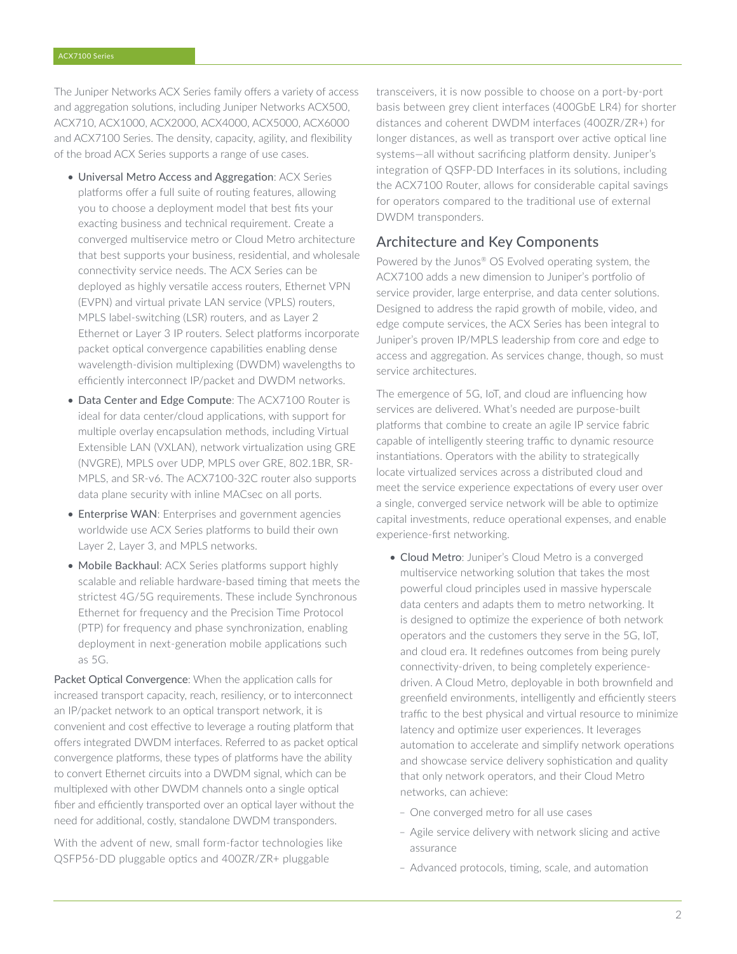The Juniper Networks ACX Series family offers a variety of access and aggregation solutions, including Juniper Networks ACX500, ACX710, ACX1000, ACX2000, ACX4000, ACX5000, ACX6000 and ACX7100 Series. The density, capacity, agility, and flexibility of the broad ACX Series supports a range of use cases.

- Universal Metro Access and Aggregation: ACX Series platforms offer a full suite of routing features, allowing you to choose a deployment model that best fits your exacting business and technical requirement. Create a converged multiservice metro or Cloud Metro architecture that best supports your business, residential, and wholesale connectivity service needs. The ACX Series can be deployed as highly versatile access routers, Ethernet VPN (EVPN) and virtual private LAN service (VPLS) routers, MPLS label-switching (LSR) routers, and as Layer 2 Ethernet or Layer 3 IP routers. Select platforms incorporate packet optical convergence capabilities enabling dense wavelength-division multiplexing (DWDM) wavelengths to efficiently interconnect IP/packet and DWDM networks.
- Data Center and Edge Compute: The ACX7100 Router is ideal for data center/cloud applications, with support for multiple overlay encapsulation methods, including Virtual Extensible LAN (VXLAN), network virtualization using GRE (NVGRE), MPLS over UDP, MPLS over GRE, 802.1BR, SR-MPLS, and SR-v6. The ACX7100-32C router also supports data plane security with inline MACsec on all ports.
- Enterprise WAN: Enterprises and government agencies worldwide use ACX Series platforms to build their own Layer 2, Layer 3, and MPLS networks.
- Mobile Backhaul: ACX Series platforms support highly scalable and reliable hardware-based timing that meets the strictest 4G/5G requirements. These include Synchronous Ethernet for frequency and the Precision Time Protocol (PTP) for frequency and phase synchronization, enabling deployment in next-generation mobile applications such as 5G.

Packet Optical Convergence: When the application calls for increased transport capacity, reach, resiliency, or to interconnect an IP/packet network to an optical transport network, it is convenient and cost effective to leverage a routing platform that offers integrated DWDM interfaces. Referred to as packet optical convergence platforms, these types of platforms have the ability to convert Ethernet circuits into a DWDM signal, which can be multiplexed with other DWDM channels onto a single optical fiber and efficiently transported over an optical layer without the need for additional, costly, standalone DWDM transponders.

With the advent of new, small form-factor technologies like QSFP56-DD pluggable optics and 400ZR/ZR+ pluggable

transceivers, it is now possible to choose on a port-by-port basis between grey client interfaces (400GbE LR4) for shorter distances and coherent DWDM interfaces (400ZR/ZR+) for longer distances, as well as transport over active optical line systems—all without sacrificing platform density. Juniper's integration of QSFP-DD Interfaces in its solutions, including the ACX7100 Router, allows for considerable capital savings for operators compared to the traditional use of external DWDM transponders.

### Architecture and Key Components

Powered by the Junos® OS Evolved operating system, the ACX7100 adds a new dimension to Juniper's portfolio of service provider, large enterprise, and data center solutions. Designed to address the rapid growth of mobile, video, and edge compute services, the ACX Series has been integral to Juniper's proven IP/MPLS leadership from core and edge to access and aggregation. As services change, though, so must service architectures.

The emergence of 5G, IoT, and cloud are influencing how services are delivered. What's needed are purpose-built platforms that combine to create an agile IP service fabric capable of intelligently steering traffic to dynamic resource instantiations. Operators with the ability to strategically locate virtualized services across a distributed cloud and meet the service experience expectations of every user over a single, converged service network will be able to optimize capital investments, reduce operational expenses, and enable experience-first networking.

- Cloud Metro: Juniper's Cloud Metro is a converged multiservice networking solution that takes the most powerful cloud principles used in massive hyperscale data centers and adapts them to metro networking. It is designed to optimize the experience of both network operators and the customers they serve in the 5G, IoT, and cloud era. It redefines outcomes from being purely connectivity-driven, to being completely experiencedriven. A Cloud Metro, deployable in both brownfield and greenfield environments, intelligently and efficiently steers traffic to the best physical and virtual resource to minimize latency and optimize user experiences. It leverages automation to accelerate and simplify network operations and showcase service delivery sophistication and quality that only network operators, and their Cloud Metro networks, can achieve:
	- One converged metro for all use cases
	- Agile service delivery with network slicing and active assurance
	- Advanced protocols, timing, scale, and automation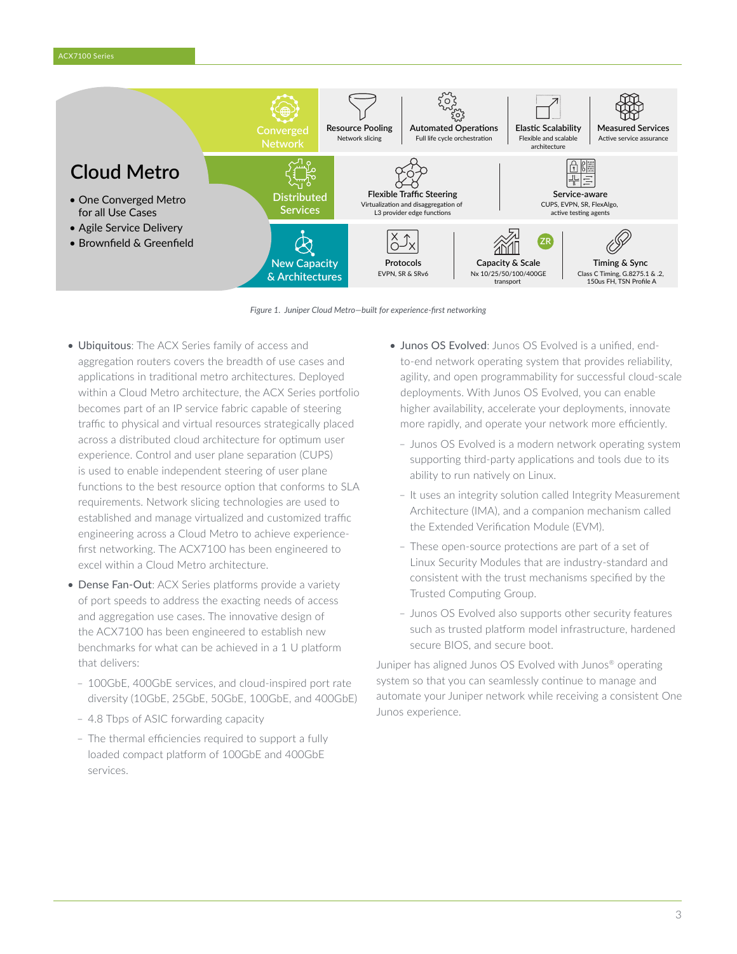

*Figure 1. Juniper Cloud Metro—built for experience-first networking*

- Ubiquitous: The ACX Series family of access and aggregation routers covers the breadth of use cases and applications in traditional metro architectures. Deployed within a Cloud Metro architecture, the ACX Series portfolio becomes part of an IP service fabric capable of steering traffic to physical and virtual resources strategically placed across a distributed cloud architecture for optimum user experience. Control and user plane separation (CUPS) is used to enable independent steering of user plane functions to the best resource option that conforms to SLA requirements. Network slicing technologies are used to established and manage virtualized and customized traffic engineering across a Cloud Metro to achieve experiencefirst networking. The ACX7100 has been engineered to excel within a Cloud Metro architecture.
- Dense Fan-Out: ACX Series platforms provide a variety of port speeds to address the exacting needs of access and aggregation use cases. The innovative design of the ACX7100 has been engineered to establish new benchmarks for what can be achieved in a 1 U platform that delivers:
	- 100GbE, 400GbE services, and cloud-inspired port rate diversity (10GbE, 25GbE, 50GbE, 100GbE, and 400GbE)
	- 4.8 Tbps of ASIC forwarding capacity
	- The thermal efficiencies required to support a fully loaded compact platform of 100GbE and 400GbE services.
- Junos OS Evolved: Junos OS Evolved is a unified, endto-end network operating system that provides reliability, agility, and open programmability for successful cloud-scale deployments. With Junos OS Evolved, you can enable higher availability, accelerate your deployments, innovate more rapidly, and operate your network more efficiently.
	- Junos OS Evolved is a modern network operating system supporting third-party applications and tools due to its ability to run natively on Linux.
	- It uses an integrity solution called Integrity Measurement Architecture (IMA), and a companion mechanism called the Extended Verification Module (EVM).
	- These open-source protections are part of a set of Linux Security Modules that are industry-standard and consistent with the trust mechanisms specified by the Trusted Computing Group.
	- Junos OS Evolved also supports other security features such as trusted platform model infrastructure, hardened secure BIOS, and secure boot.

Juniper has aligned Junos OS Evolved with Junos® operating system so that you can seamlessly continue to manage and automate your Juniper network while receiving a consistent One Junos experience.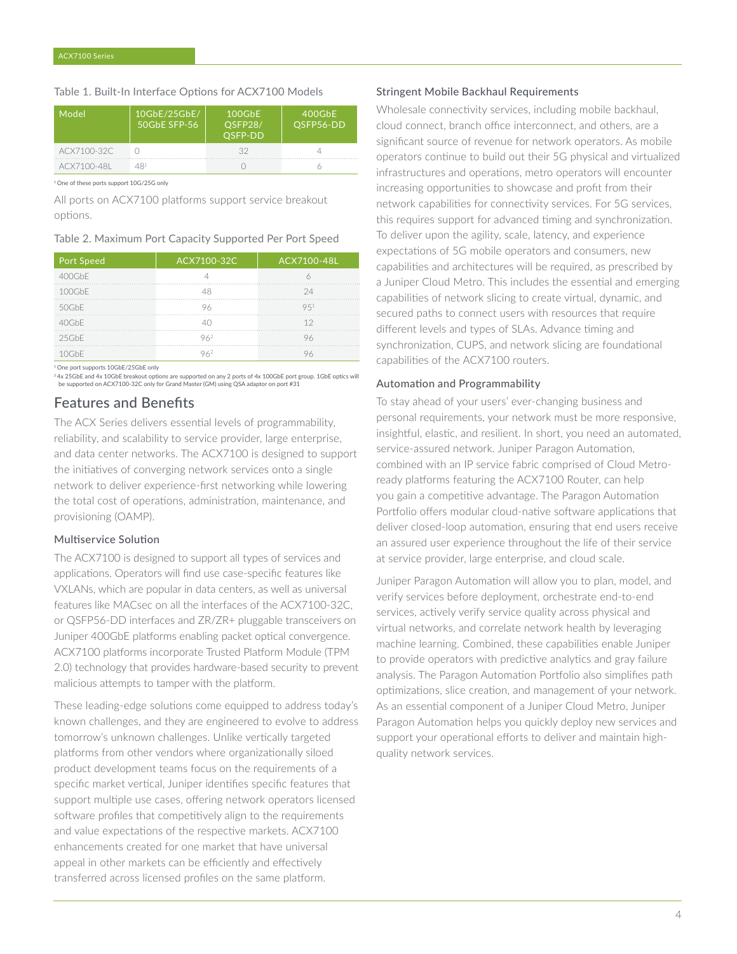#### Table 1. Built-In Interface Options for ACX7100 Models

| Model       | 10GbE/25GbE/<br>50GbE SFP-56 | 100GbE<br>OSFP28/<br>OSFP-DD | 400GbE<br>OSFP56-DD |
|-------------|------------------------------|------------------------------|---------------------|
| ACX7100-32C |                              | マク                           |                     |
| ACX7100-48L | 491                          |                              |                     |

1 One of these ports support 10G/25G only

All ports on ACX7100 platforms support service breakout options.

#### Table 2. Maximum Port Capacity Supported Per Port Speed

| <b>Port Speed</b> | ACX7100-32C | ACX7100-48L |
|-------------------|-------------|-------------|
| 400GbF            |             |             |
| 100GbF            |             | 24          |
| 50GbE             |             | 951         |
| 40GbF             |             | 12          |
| 25GbF             | 962         | 96          |
| NGHE              |             |             |

1 One port supports 10GbE/25GbE only

2 4x 25GbE and 4x 10GbE breakout options are supported on any 2 ports of 4x 100GbE port group. 1GbE optics will be supported on ACX7100-32C only for Grand Master (GM) using QSA adaptor on port #31

### Features and Benefits

The ACX Series delivers essential levels of programmability, reliability, and scalability to service provider, large enterprise, and data center networks. The ACX7100 is designed to support the initiatives of converging network services onto a single network to deliver experience-first networking while lowering the total cost of operations, administration, maintenance, and provisioning (OAMP).

#### Multiservice Solution

The ACX7100 is designed to support all types of services and applications. Operators will find use case-specific features like VXLANs, which are popular in data centers, as well as universal features like MACsec on all the interfaces of the ACX7100-32C, or QSFP56-DD interfaces and ZR/ZR+ pluggable transceivers on Juniper 400GbE platforms enabling packet optical convergence. ACX7100 platforms incorporate Trusted Platform Module (TPM 2.0) technology that provides hardware-based security to prevent malicious attempts to tamper with the platform.

These leading-edge solutions come equipped to address today's known challenges, and they are engineered to evolve to address tomorrow's unknown challenges. Unlike vertically targeted platforms from other vendors where organizationally siloed product development teams focus on the requirements of a specific market vertical, Juniper identifies specific features that support multiple use cases, offering network operators licensed software profiles that competitively align to the requirements and value expectations of the respective markets. ACX7100 enhancements created for one market that have universal appeal in other markets can be efficiently and effectively transferred across licensed profiles on the same platform.

#### Stringent Mobile Backhaul Requirements

Wholesale connectivity services, including mobile backhaul, cloud connect, branch office interconnect, and others, are a significant source of revenue for network operators. As mobile operators continue to build out their 5G physical and virtualized infrastructures and operations, metro operators will encounter increasing opportunities to showcase and profit from their network capabilities for connectivity services. For 5G services, this requires support for advanced timing and synchronization. To deliver upon the agility, scale, latency, and experience expectations of 5G mobile operators and consumers, new capabilities and architectures will be required, as prescribed by a Juniper Cloud Metro. This includes the essential and emerging capabilities of network slicing to create virtual, dynamic, and secured paths to connect users with resources that require different levels and types of SLAs. Advance timing and synchronization, CUPS, and network slicing are foundational capabilities of the ACX7100 routers.

#### Automation and Programmability

To stay ahead of your users' ever-changing business and personal requirements, your network must be more responsive, insightful, elastic, and resilient. In short, you need an automated, service-assured network. Juniper Paragon Automation, combined with an IP service fabric comprised of Cloud Metroready platforms featuring the ACX7100 Router, can help you gain a competitive advantage. The Paragon Automation Portfolio offers modular cloud-native software applications that deliver closed-loop automation, ensuring that end users receive an assured user experience throughout the life of their service at service provider, large enterprise, and cloud scale.

Juniper Paragon Automation will allow you to plan, model, and verify services before deployment, orchestrate end-to-end services, actively verify service quality across physical and virtual networks, and correlate network health by leveraging machine learning. Combined, these capabilities enable Juniper to provide operators with predictive analytics and gray failure analysis. The Paragon Automation Portfolio also simplifies path optimizations, slice creation, and management of your network. As an essential component of a Juniper Cloud Metro, Juniper Paragon Automation helps you quickly deploy new services and support your operational efforts to deliver and maintain highquality network services.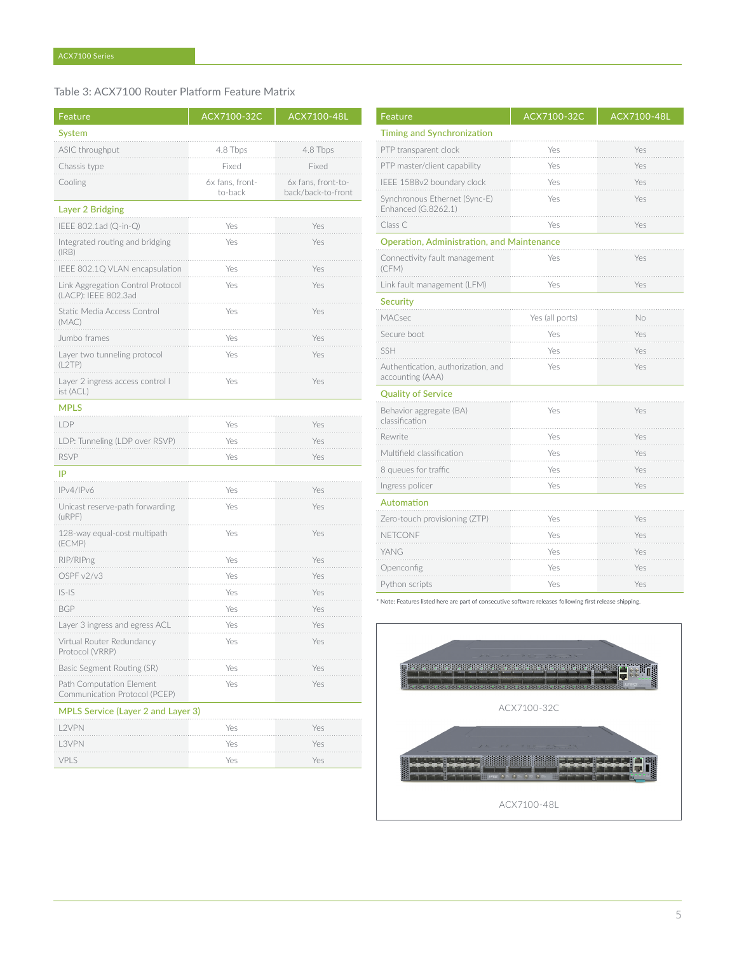Table 3: ACX7100 Router Platform Feature Matrix

| Feature                                                   | ACX7100-32C                | ACX7100-48L                              |
|-----------------------------------------------------------|----------------------------|------------------------------------------|
| System                                                    |                            |                                          |
| ASIC throughput                                           | 4.8 Tbps                   | 4.8 Tbps                                 |
| Chassis type                                              | Fixed                      | Fixed                                    |
| Cooling                                                   | 6x fans, front-<br>to-back | 6x fans, front-to-<br>back/back-to-front |
| <b>Layer 2 Bridging</b>                                   |                            |                                          |
| IEEE 802.1ad (Q-in-Q)                                     | Yes                        | Yes                                      |
| Integrated routing and bridging<br>(IRB)                  | Yes                        | Yes                                      |
| IEEE 802.1Q VLAN encapsulation                            | Yes                        | Yes                                      |
| Link Aggregation Control Protocol<br>(LACP): IEEE 802.3ad | Yes                        | Yes                                      |
| Static Media Access Control<br>(MAC)                      | Yes                        | Yes                                      |
| Jumbo frames                                              | Yes                        | Yes                                      |
| Layer two tunneling protocol<br>(L2TP)                    | Yes                        | Yes                                      |
| Layer 2 ingress access control l<br>ist (ACL)             | Yes                        | Yes                                      |
| <b>MPLS</b>                                               |                            |                                          |
| LDP                                                       | Yes                        | Yes                                      |
| LDP: Tunneling (LDP over RSVP)                            | Yes                        | Yes                                      |
| <b>RSVP</b>                                               | Yes                        | Yes                                      |
| IP                                                        |                            |                                          |
| IPv4/IPv6                                                 | Yes                        | Yes                                      |
| Unicast reserve-path forwarding<br>(uRPF)                 | Yes                        | Yes                                      |
| 128-way equal-cost multipath<br>(ECMP)                    | Yes                        | Yes                                      |
| RIP/RIPng                                                 | Yes                        | Yes                                      |
| OSPF v2/v3                                                | Yes                        | Yes                                      |
| $ S-IS$<br>$\sim 1000$                                    | Yes                        | Yes                                      |
| <b>BGP</b>                                                | Yes                        | Yes                                      |
| Layer 3 ingress and egress ACL                            | Yes                        | Yes                                      |
| Virtual Router Redundancy<br>Protocol (VRRP)              | Yes                        | Yes                                      |
| Basic Segment Routing (SR)                                | Yes                        | Yes                                      |
| Path Computation Element<br>Communication Protocol (PCEP) | Yes                        | Yes                                      |
| <b>MPLS Service (Layer 2 and Layer 3)</b>                 |                            |                                          |
| .2VPN                                                     | Yes                        | Yes                                      |
| L3VPN                                                     | Yes                        | Yes                                      |
| VPLS                                                      | Yes                        | Yes                                      |

| Feature                                                | ACX7100-32C     | ACX7100-48L |
|--------------------------------------------------------|-----------------|-------------|
| <b>Timing and Synchronization</b>                      |                 |             |
| PTP transparent clock                                  | Yes             | Yes         |
| PTP master/client capability                           | Yes             | Yes         |
| IEEE 1588v2 boundary clock                             | Yes             | Yes         |
| Synchronous Ethernet (Sync-E)<br>Enhanced (G.8262.1)   | Yes             | Yes         |
| Class C                                                | Yes             | Yes         |
| <b>Operation, Administration, and Maintenance</b>      |                 |             |
| Connectivity fault management<br>(CFM)                 | Yes             | Yes         |
| Link fault management (LFM)                            | Yes             | Yes         |
| <b>Security</b>                                        |                 |             |
| MACsec                                                 | Yes (all ports) | No          |
| Secure boot                                            | Yes             | Yes         |
| <b>SSH</b>                                             | Yes             | Yes         |
| Authentication, authorization, and<br>accounting (AAA) | Yes             | Yes         |
| <b>Quality of Service</b>                              |                 |             |
| Behavior aggregate (BA)<br>classification              | Yes             | Yes         |
| Rewrite                                                | Yes             | Yes         |
| Multifield classification                              | Yes             | Yes         |
| 8 queues for traffic                                   | Yes             | Yes         |
| Ingress policer                                        | Yes             | Yes         |
| Automation                                             |                 |             |
| Zero-touch provisioning (ZTP)                          | Yes             | Yes         |
| NETCONF                                                | Yes             | Yes         |
| YANG                                                   | Yes             | Yes         |
| Openconfig                                             | Yes             | Yes         |
| Python scripts                                         | Yes             | Yes         |

\* Note: Features listed here are part of consecutive software releases following first release shipping.

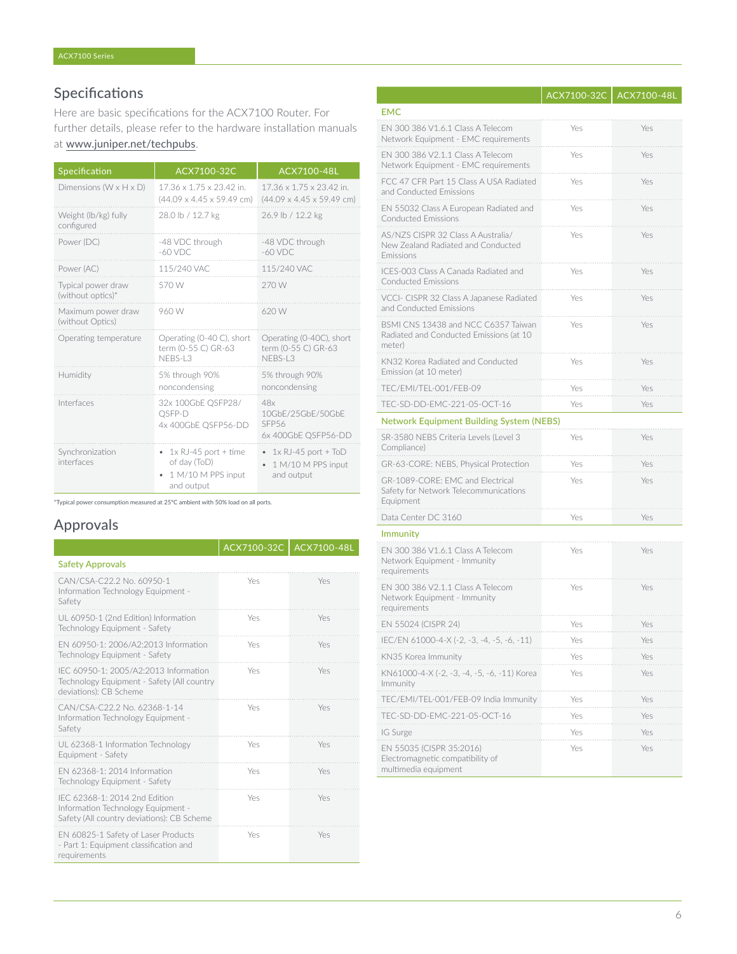# Specifications

Here are basic specifications for the ACX7100 Router. For further details, please refer to the hardware installation manuals

### at [www.juniper.net/techpubs](http://www.juniper.net/techpubs).

| Specification                           | ACX7100-32C                                                                     | ACX7100-48L                                                          |
|-----------------------------------------|---------------------------------------------------------------------------------|----------------------------------------------------------------------|
| Dimensions ( $W \times H \times D$ )    | 17.36 x 1.75 x 23.42 in.<br>$(44.09 \times 4.45 \times 59.49$ cm)               | 17.36 x 1.75 x 23.42 in.<br>$(44.09 \times 4.45 \times 59.49$ cm)    |
| Weight (lb/kg) fully<br>configured      | 28.0 lb / 12.7 kg                                                               | 26.9 lb / 12.2 kg                                                    |
| Power (DC)                              | -48 VDC through<br>$-60$ VDC                                                    | -48 VDC through<br>$-60$ VDC                                         |
| Power (AC)                              | 115/240 VAC                                                                     | 115/240 VAC                                                          |
| Typical power draw<br>(without optics)* | 570 W                                                                           | 270 W                                                                |
| Maximum power draw<br>(without Optics)  | 960 W                                                                           | 620 W                                                                |
| Operating temperature                   | Operating (0-40 C), short<br>term (0-55 C) GR-63<br>NFBS-L3                     | Operating (0-40C), short<br>term (0-55 C) GR-63<br>NFBS-L3           |
| Humidity                                | 5% through 90%<br>noncondensing                                                 | 5% through 90%<br>noncondensing                                      |
| Interfaces                              | 32x 100GbE QSFP28/<br>OSFP-D<br>4x 400GbE QSFP56-DD                             | 48x<br>10GbF/25GbF/50GbF<br>SFP <sub>56</sub><br>6x 400GbE QSFP56-DD |
| Synchronization<br>interfaces           | $1x$ RJ-45 port + time<br>٠<br>of day (ToD)<br>1 M/10 M PPS input<br>and output | $1x$ RJ-45 port + ToD<br>1 M/10 M PPS input<br>and output            |

\*Typical power consumption measured at 25ºC ambient with 50% load on all ports.

# Approvals

|                                                                                                                   | ACX7100-32C   ACX7100-48L |     |
|-------------------------------------------------------------------------------------------------------------------|---------------------------|-----|
| <b>Safety Approvals</b>                                                                                           |                           |     |
| CAN/CSA-C22.2 No. 60950-1<br>Information Technology Equipment -<br>Safety                                         | Yes                       | Yes |
| UL 60950-1 (2nd Edition) Information<br>Technology Equipment - Safety                                             | Yes                       | Yes |
| EN 60950-1: 2006/A2:2013 Information<br>Technology Equipment - Safety                                             | Yes                       | Yes |
| IEC 60950-1: 2005/A2:2013 Information<br>Technology Equipment - Safety (All country<br>deviations): CB Scheme     | Yes                       | Yes |
| CAN/CSA-C22.2 No. 62368-1-14<br>Information Technology Equipment -<br>Safety                                      | Yes                       | Yes |
| UL 62368-1 Information Technology<br>Equipment - Safety                                                           | Yes                       | Yes |
| FN 62368-1: 2014 Information<br>Technology Equipment - Safety                                                     | Yes                       | Yes |
| IFC 62368-1: 2014 2nd Edition<br>Information Technology Equipment -<br>Safety (All country deviations): CB Scheme | Yes                       | Yes |
| EN 60825-1 Safety of Laser Products<br>- Part 1: Equipment classification and<br>requirements                     | Yes                       | Yes |

|                                                                                          | ACX7100-32C | ACX7100-48L |
|------------------------------------------------------------------------------------------|-------------|-------------|
| <b>EMC</b>                                                                               |             |             |
| EN 300 386 V1.6.1 Class A Telecom<br>Network Equipment - EMC requirements                | Yes         | Yes         |
| EN 300 386 V2.1.1 Class A Telecom<br>Network Equipment - EMC requirements                | Yes         | Yes         |
| FCC 47 CFR Part 15 Class A USA Radiated<br>and Conducted Emissions                       | Yes         | Yes         |
| EN 55032 Class A European Radiated and<br><b>Conducted Emissions</b>                     | Yes         | Yes         |
| AS/NZS CISPR 32 Class A Australia/<br>New Zealand Radiated and Conducted<br>Emissions    | Yes         | Yes         |
| ICES-003 Class A Canada Radiated and<br><b>Conducted Emissions</b>                       | Yes         | Yes         |
| VCCI- CISPR 32 Class A Japanese Radiated<br>and Conducted Emissions                      | Yes         | Yes         |
| BSMI CNS 13438 and NCC C6357 Taiwan<br>Radiated and Conducted Emissions (at 10<br>meter) | Yes         | Yes         |
| KN32 Korea Radiated and Conducted<br>Emission (at 10 meter)                              | Yes         | Yes         |
| TEC/EMI/TEL-001/FEB-09                                                                   | Yes         | Yes         |
| TEC-SD-DD-EMC-221-05-OCT-16                                                              | Yes         | Yes         |
| <b>Network Equipment Building System (NEBS)</b>                                          |             |             |
| SR-3580 NEBS Criteria Levels (Level 3<br>Compliance)                                     | Yes         | Yes         |
| GR-63-CORE: NEBS, Physical Protection                                                    | Yes         | Yes         |
| GR-1089-CORE: EMC and Electrical<br>Safety for Network Telecommunications<br>Equipment   | Yes         | Yes         |
| Data Center DC 3160                                                                      | Yes         | Yes         |
| <b>Immunity</b>                                                                          |             |             |
| EN 300 386 V1.6.1 Class A Telecom<br>Network Equipment - Immunity<br>requirements        | Yes         | Yes         |
| EN 300 386 V2.1.1 Class A Telecom<br>Network Equipment - Immunity<br>requirements        | Yes         | Yes         |
| EN 55024 (CISPR 24)                                                                      | Yes         | Yes         |
| IEC/EN 61000-4-X (-2, -3, -4, -5, -6, -11)                                               | Yes         | Yes         |
| KN35 Korea Immunity                                                                      | Yes         | Yes         |
| KN61000-4-X (-2, -3, -4, -5, -6, -11) Korea<br>Immunity                                  | Yes         | Yes         |
| /emi/Tel<br>-09<br>India Immunity                                                        | Yes         |             |
| C-SD-DD-EMC-221-05-OCT-16                                                                | Yes         | Yes         |
| IG Surge                                                                                 | Yes         | Yes         |
| EN 55035 (CISPR 35:2016)<br>Electromagnetic compatibility of<br>multimedia equipment     | Yes         | Yes         |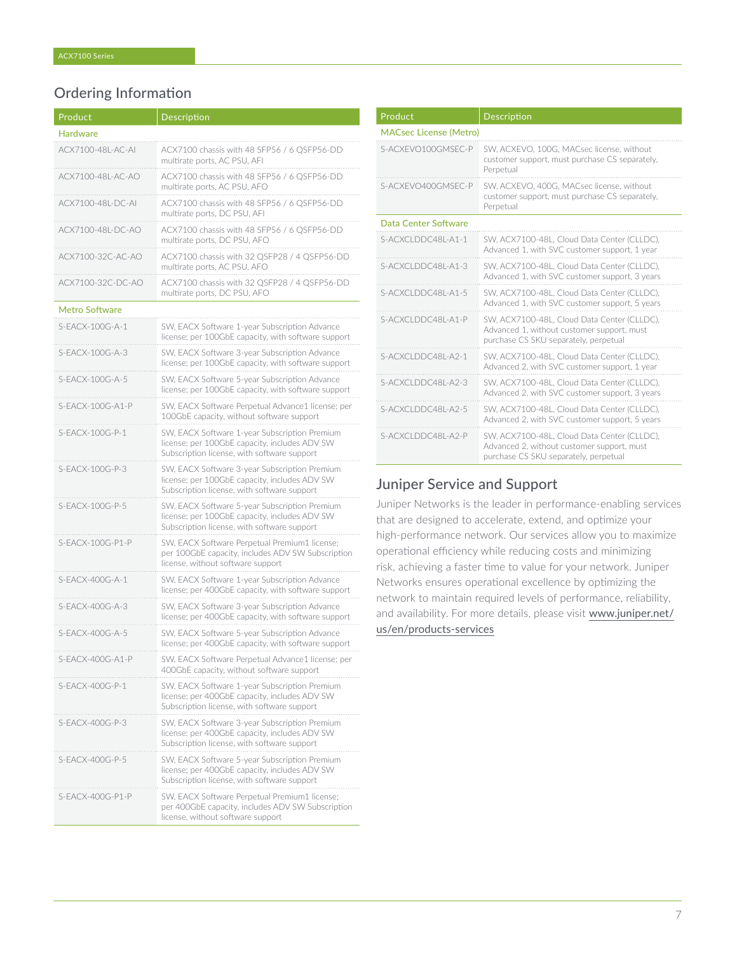# Ordering Information

| Product               | Description                                                                                                                                   |
|-----------------------|-----------------------------------------------------------------------------------------------------------------------------------------------|
| <b>Hardware</b>       |                                                                                                                                               |
| ACX7100-48L-AC-AI     | ACX7100 chassis with 48 SFP56 / 6 QSFP56-DD<br>multirate ports, AC PSU, AFI                                                                   |
| ACX7100-48L-AC-AO     | ACX7100 chassis with 48 SFP56 / 6 OSFP56-DD<br>multirate ports, AC PSU, AFO                                                                   |
| ACX7100-48L-DC-AI     | ACX7100 chassis with 48 SFP56 / 6 QSFP56-DD<br>multirate ports, DC PSU, AFI                                                                   |
| ACX7100-48L-DC-AO     | ACX7100 chassis with 48 SFP56 / 6 QSFP56-DD<br>multirate ports, DC PSU, AFO                                                                   |
| ACX7100-32C-AC-AO     | ACX7100 chassis with 32 QSFP28 / 4 QSFP56-DD<br>multirate ports, AC PSU, AFO                                                                  |
| ACX7100-32C-DC-AO     | ACX7100 chassis with 32 QSFP28 / 4 QSFP56-DD<br>multirate ports, DC PSU, AFO                                                                  |
| <b>Metro Software</b> |                                                                                                                                               |
| S-EACX-100G-A-1       | SW, EACX Software 1-year Subscription Advance<br>license; per 100GbE capacity, with software support                                          |
| $S-FACK-100G-A-3$     | SW, EACX Software 3-year Subscription Advance<br>license; per 100GbE capacity, with software support                                          |
| $S-FACK-100G-A-5$     | SW. EACX Software 5-year Subscription Advance<br>license; per 100GbE capacity, with software support                                          |
| S-FACX-100G-A1-P      | SW, EACX Software Perpetual Advance1 license; per<br>100GbE capacity, without software support                                                |
| S-EACX-100G-P-1       | SW, EACX Software 1-year Subscription Premium<br>license; per 100GbE capacity, includes ADV SW<br>Subscription license, with software support |
| S-EACX-100G-P-3       | SW, EACX Software 3-year Subscription Premium<br>license; per 100GbE capacity, includes ADV SW<br>Subscription license, with software support |
| S-EACX-100G-P-5       | SW, EACX Software 5-year Subscription Premium<br>license; per 100GbE capacity, includes ADV SW<br>Subscription license, with software support |
| S-EACX-100G-P1-P      | SW, EACX Software Perpetual Premium1 license;<br>per 100GbE capacity, includes ADV SW Subscription<br>license, without software support       |
| S-EACX-400G-A-1       | SW, EACX Software 1-year Subscription Advance<br>license; per 400GbE capacity, with software support                                          |
| S-EACX-400G-A-3       | SW, EACX Software 3-year Subscription Advance<br>license; per 400GbE capacity, with software support                                          |
| S-EACX-400G-A-5       | SW, EACX Software 5-year Subscription Advance<br>license; per 400GbE capacity, with software support                                          |
| S-EACX-400G-A1-P      | SW, EACX Software Perpetual Advance1 license; per<br>400GbE capacity, without software support                                                |
| S-EACX-400G-P-1       | SW, EACX Software 1-year Subscription Premium<br>license; per 400GbE capacity, includes ADV SW<br>Subscription license, with software support |
| $S-FACX-400G-P-3$     | SW, EACX Software 3-year Subscription Premium<br>license; per 400GbE capacity, includes ADV SW<br>Subscription license, with software support |
| S-EACX-400G-P-5       | SW, EACX Software 5-year Subscription Premium<br>license; per 400GbE capacity, includes ADV SW<br>Subscription license, with software support |
| S-EACX-400G-P1-P      | SW, EACX Software Perpetual Premium1 license;<br>per 400GbE capacity, includes ADV SW Subscription<br>license, without software support       |

| Product                       | <b>Description</b>                                                                                                                 |  |
|-------------------------------|------------------------------------------------------------------------------------------------------------------------------------|--|
| <b>MACsec License (Metro)</b> |                                                                                                                                    |  |
| S-ACXFVO100GMSFC-P            | SW, ACXEVO, 100G, MACsec license, without<br>customer support, must purchase CS separately,<br>Perpetual                           |  |
| S-ACXFVO400GMSFC-P            | SW, ACXEVO, 400G, MACsec license, without<br>customer support, must purchase CS separately,<br>Perpetual                           |  |
| Data Center Software          |                                                                                                                                    |  |
| S-ACXCLDDC48L-A1-1            | SW. ACX7100-48L, Cloud Data Center (CLLDC),<br>Advanced 1, with SVC customer support, 1 year                                       |  |
| S-ACXCLDDC48L-A1-3            | SW, ACX7100-48L. Cloud Data Center (CLLDC).<br>Advanced 1, with SVC customer support, 3 years                                      |  |
| S-ACXCLDDC48L-A1-5            | SW, ACX7100-48L, Cloud Data Center (CLLDC),<br>Advanced 1, with SVC customer support, 5 years                                      |  |
| S-ACXCLDDC48L-A1-P            | SW, ACX7100-48L, Cloud Data Center (CLLDC),<br>Advanced 1, without customer support, must<br>purchase CS SKU separately, perpetual |  |
| S-ACXCLDDC48L-A2-1            | SW. ACX7100-48L. Cloud Data Center (CLLDC).<br>Advanced 2, with SVC customer support, 1 year                                       |  |
| S-ACXCLDDC48L-A2-3            | SW, ACX7100-48L, Cloud Data Center (CLLDC),<br>Advanced 2, with SVC customer support, 3 years                                      |  |
| S-ACXCLDDC48L-A2-5            | SW, ACX7100-48L, Cloud Data Center (CLLDC),<br>Advanced 2, with SVC customer support, 5 years                                      |  |
| S-ACXCLDDC48L-A2-P            | SW, ACX7100-48L, Cloud Data Center (CLLDC),<br>Advanced 2, without customer support, must<br>purchase CS SKU separately, perpetual |  |

## Juniper Service and Support

Juniper Networks is the leader in performance-enabling services that are designed to accelerate, extend, and optimize your high-performance network. Our services allow you to maximize operational efficiency while reducing costs and minimizing risk, achieving a faster time to value for your network. Juniper Networks ensures operational excellence by optimizing the network to maintain required levels of performance, reliability, and availability. For more details, please visit [www.juniper.net/](http://www.juniper.net/us/en/products-services) [us/en/products-services](http://www.juniper.net/us/en/products-services)